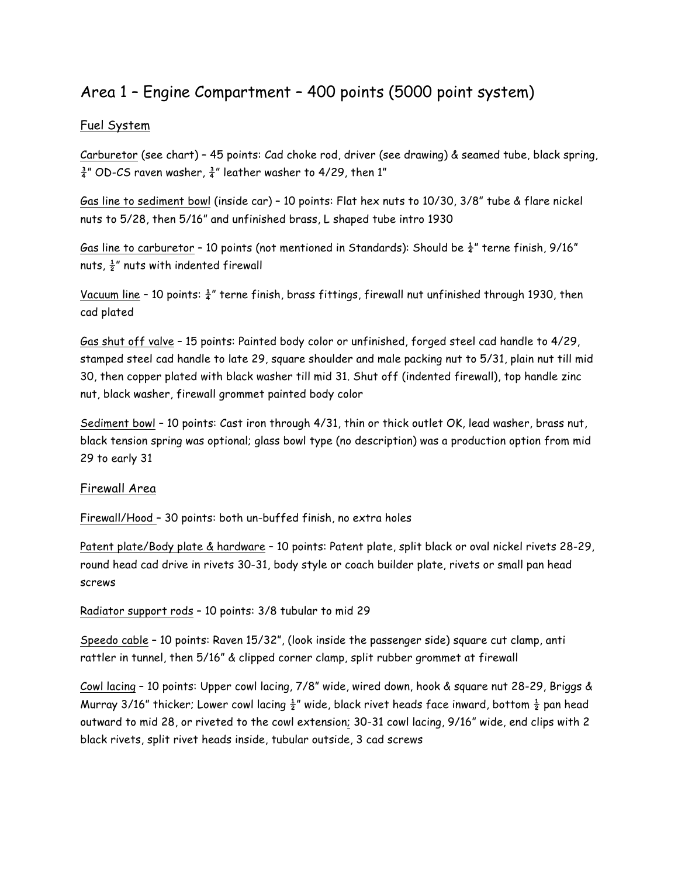# Area 1 – Engine Compartment – 400 points (5000 point system)

## Fuel System

Carburetor (see chart) – 45 points: Cad choke rod, driver (see drawing) & seamed tube, black spring,  $\frac{3}{4}$ " OD-CS raven washer,  $\frac{3}{4}$ " leather washer to 4/29, then 1"

Gas line to sediment bowl (inside car) – 10 points: Flat hex nuts to 10/30, 3/8" tube & flare nickel nuts to 5/28, then 5/16" and unfinished brass, L shaped tube intro 1930

Gas line to carburetor - 10 points (not mentioned in Standards): Should be  $\frac{1}{4}$ " terne finish, 9/16" nuts,  $\frac{1}{2}$ " nuts with indented firewall

Vacuum line - 10 points:  $\frac{1}{4}$ " terne finish, brass fittings, firewall nut unfinished through 1930, then cad plated

Gas shut off valve – 15 points: Painted body color or unfinished, forged steel cad handle to 4/29, stamped steel cad handle to late 29, square shoulder and male packing nut to 5/31, plain nut till mid 30, then copper plated with black washer till mid 31. Shut off (indented firewall), top handle zinc nut, black washer, firewall grommet painted body color

Sediment bowl – 10 points: Cast iron through 4/31, thin or thick outlet OK, lead washer, brass nut, black tension spring was optional; glass bowl type (no description) was a production option from mid 29 to early 31

### Firewall Area

Firewall/Hood – 30 points: both un-buffed finish, no extra holes

Patent plate/Body plate & hardware – 10 points: Patent plate, split black or oval nickel rivets 28-29, round head cad drive in rivets 30-31, body style or coach builder plate, rivets or small pan head screws

Radiator support rods – 10 points: 3/8 tubular to mid 29

Speedo cable – 10 points: Raven 15/32", (look inside the passenger side) square cut clamp, anti rattler in tunnel, then 5/16" & clipped corner clamp, split rubber grommet at firewall

Cowl lacing – 10 points: Upper cowl lacing, 7/8" wide, wired down, hook & square nut 28-29, Briggs & Murray 3/16" thicker; Lower cowl lacing  $\frac{1}{2}$ " wide, black rivet heads face inward, bottom  $\frac{1}{2}$  pan head outward to mid 28, or riveted to the cowl extension; 30-31 cowl lacing, 9/16" wide, end clips with 2 black rivets, split rivet heads inside, tubular outside, 3 cad screws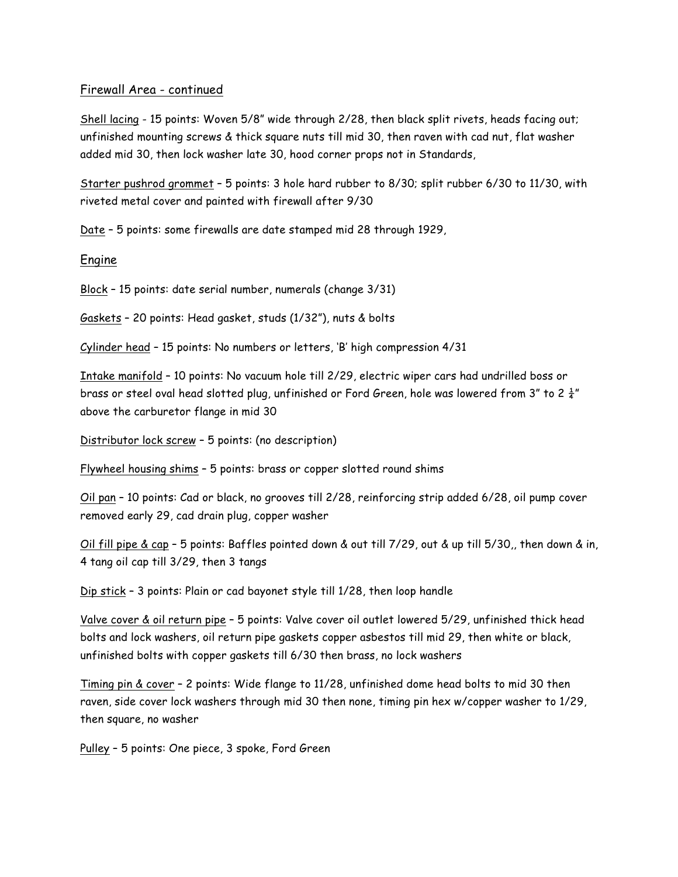#### Firewall Area - continued

Shell lacing - 15 points: Woven 5/8" wide through 2/28, then black split rivets, heads facing out; unfinished mounting screws & thick square nuts till mid 30, then raven with cad nut, flat washer added mid 30, then lock washer late 30, hood corner props not in Standards,

Starter pushrod grommet – 5 points: 3 hole hard rubber to 8/30; split rubber 6/30 to 11/30, with riveted metal cover and painted with firewall after 9/30

Date – 5 points: some firewalls are date stamped mid 28 through 1929,

#### Engine

Block – 15 points: date serial number, numerals (change 3/31)

Gaskets – 20 points: Head gasket, studs (1/32"), nuts & bolts

Cylinder head – 15 points: No numbers or letters, 'B' high compression 4/31

Intake manifold – 10 points: No vacuum hole till 2/29, electric wiper cars had undrilled boss or brass or steel oval head slotted plug, unfinished or Ford Green, hole was lowered from 3" to 2 $\frac{1}{4}$ " above the carburetor flange in mid 30

Distributor lock screw – 5 points: (no description)

Flywheel housing shims – 5 points: brass or copper slotted round shims

Oil pan – 10 points: Cad or black, no grooves till 2/28, reinforcing strip added 6/28, oil pump cover removed early 29, cad drain plug, copper washer

Oil fill pipe & cap – 5 points: Baffles pointed down & out till 7/29, out & up till 5/30,, then down & in, 4 tang oil cap till 3/29, then 3 tangs

Dip stick – 3 points: Plain or cad bayonet style till 1/28, then loop handle

Valve cover & oil return pipe – 5 points: Valve cover oil outlet lowered 5/29, unfinished thick head bolts and lock washers, oil return pipe gaskets copper asbestos till mid 29, then white or black, unfinished bolts with copper gaskets till 6/30 then brass, no lock washers

Timing pin & cover – 2 points: Wide flange to 11/28, unfinished dome head bolts to mid 30 then raven, side cover lock washers through mid 30 then none, timing pin hex w/copper washer to 1/29, then square, no washer

Pulley – 5 points: One piece, 3 spoke, Ford Green